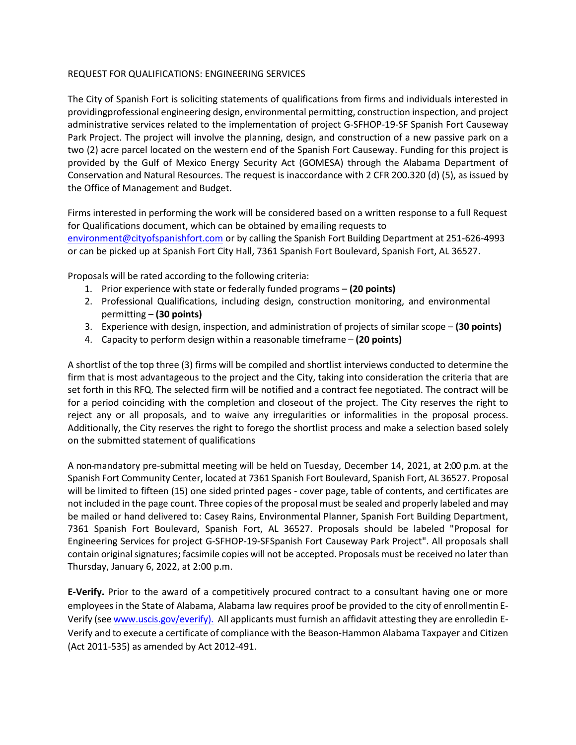## REQUEST FOR QUALIFICATIONS: ENGINEERING SERVICES

The City of Spanish Fort is soliciting statements of qualifications from firms and individuals interested in providingprofessional engineering design, environmental permitting, construction inspection, and project administrative services related to the implementation of project G-SFHOP-19-SF Spanish Fort Causeway Park Project. The project will involve the planning, design, and construction of a new passive park on a two (2) acre parcel located on the western end of the Spanish Fort Causeway. Funding for this project is provided by the Gulf of Mexico Energy Security Act (GOMESA) through the Alabama Department of Conservation and Natural Resources. The request is inaccordance with 2 CFR 200.320 (d) (5), as issued by the Office of Management and Budget.

Firms interested in performing the work will be considered based on a written response to a full Request for Qualifications document, which can be obtained by emailing requests to [environment@cityofspanishfort.com](mailto:environment@cityofspanishfort.com) or by calling the Spanish Fort Building Department at 251-626-4993 or can be picked up at Spanish Fort City Hall, 7361 Spanish Fort Boulevard, Spanish Fort, AL 36527.

Proposals will be rated according to the following criteria:

- 1. Prior experience with state or federally funded programs **(20 points)**
- 2. Professional Qualifications, including design, construction monitoring, and environmental permitting – **(30 points)**
- 3. Experience with design, inspection, and administration of projects of similar scope **(30 points)**
- 4. Capacity to perform design within a reasonable timeframe **(20 points)**

A shortlist of the top three (3) firms will be compiled and shortlist interviews conducted to determine the firm that is most advantageous to the project and the City, taking into consideration the criteria that are set forth in this RFQ. The selected firm will be notified and a contract fee negotiated. The contract will be for a period coinciding with the completion and closeout of the project. The City reserves the right to reject any or all proposals, and to waive any irregularities or informalities in the proposal process. Additionally, the City reserves the right to forego the shortlist process and make a selection based solely on the submitted statement of qualifications

A non-mandatory pre-submittal meeting will be held on Tuesday, December 14, 2021, at 2:00 p.m. at the Spanish Fort Community Center, located at 7361 Spanish Fort Boulevard, Spanish Fort, AL 36527. Proposal will be limited to fifteen (15) one sided printed pages - cover page, table of contents, and certificates are not included in the page count. Three copies of the proposal must be sealed and properly labeled and may be mailed or hand delivered to: Casey Rains, Environmental Planner, Spanish Fort Building Department, 7361 Spanish Fort Boulevard, Spanish Fort, AL 36527. Proposals should be labeled "Proposal for Engineering Services for project G-SFHOP-19-SFSpanish Fort Causeway Park Project". All proposals shall contain original signatures; facsimile copies will not be accepted. Proposals must be received no later than Thursday, January 6, 2022, at 2:00 p.m.

**E-Verify.** Prior to the award of a competitively procured contract to a consultant having one or more employees in the State of Alabama, Alabama law requires proof be provided to the city of enrollmentin EVerify (see [www.uscis.gov/everify\).](http://www.uscis.gov/everify).) All applicants must furnish an affidavit attesting they are enrolledin E-Verify and to execute a certificate of compliance with the Beason-Hammon Alabama Taxpayer and Citizen (Act 2011-535) as amended by Act 2012-491.